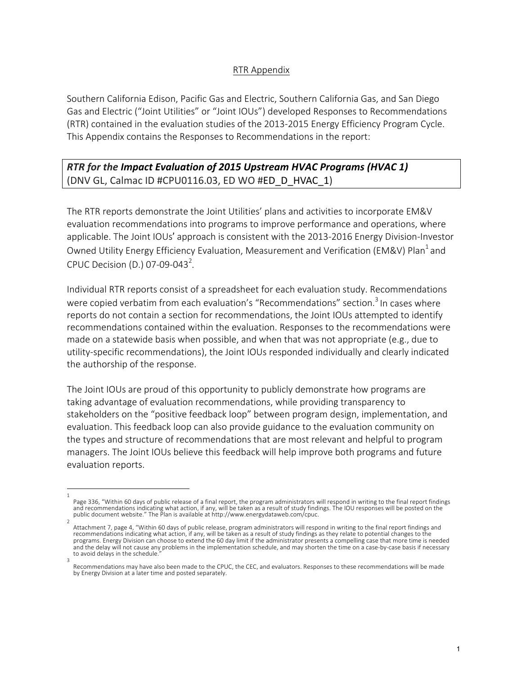## RTR Appendix

Southern California Edison, Pacific Gas and Electric, Southern California Gas, and San Diego Gas and Electric ("Joint Utilities" or "Joint IOUs") developed Responses to Recommendations (RTR) contained in the evaluation studies of the 2013-2015 Energy Efficiency Program Cycle. This Appendix contains the Responses to Recommendations in the report:

## **RTR** for the Impact Evaluation of 2015 Upstream HVAC Programs (HVAC 1) (DNV GL, Calmac ID #CPU0116.03, ED WO #ED\_D\_HVAC\_1)

The RTR reports demonstrate the Joint Utilities' plans and activities to incorporate EM&V evaluation recommendations into programs to improve performance and operations, where applicable. The Joint IOUs' approach is consistent with the 2013-2016 Energy Division-Investor Owned Utility Energy Efficiency Evaluation, Measurement and Verification (EM&V) Plan<sup>1</sup> and CPUC Decision (D.) 07-09-043<sup>2</sup>.

Individual RTR reports consist of a spreadsheet for each evaluation study. Recommendations were copied verbatim from each evaluation's "Recommendations" section.<sup>3</sup> In cases where reports do not contain a section for recommendations, the Joint IOUs attempted to identify recommendations contained within the evaluation. Responses to the recommendations were made on a statewide basis when possible, and when that was not appropriate  $(e.g.,$  due to utility-specific recommendations), the Joint IOUs responded individually and clearly indicated the authorship of the response.

The Joint IOUs are proud of this opportunity to publicly demonstrate how programs are taking advantage of evaluation recommendations, while providing transparency to stakeholders on the "positive feedback loop" between program design, implementation, and evaluation. This feedback loop can also provide guidance to the evaluation community on the types and structure of recommendations that are most relevant and helpful to program managers. The Joint IOUs believe this feedback will help improve both programs and future evaluation reports.

<sup>1</sup> Page 336, "Within 60 days of public release of a final report, the program administrators will respond in writing to the final report findings and recommendations indicating what action, if any, will be taken as a result of study findings. The IOU responses will be posted on the public document website." The Plan is available at http://www.energydataweb.com/cpuc.

<sup>2</sup> Attachment 7, page 4, "Within 60 days of public release, program administrators will respond in writing to the final report findings and recommendations indicating what action, if any, will be taken as a result of study findings as they relate to potential changes to the programs. Energy Division can choose to extend the 60 day limit if the administrator presents a compelling case that more time is needed and the delay will not cause any problems in the implementation schedule, and may shorten the time on a case-by-case basis if necessary to avoid delays in the schedule. 3

Recommendations may have also been made to the CPUC, the CEC, and evaluators. Responses to these recommendations will be made by Energy Division at a later time and posted separately.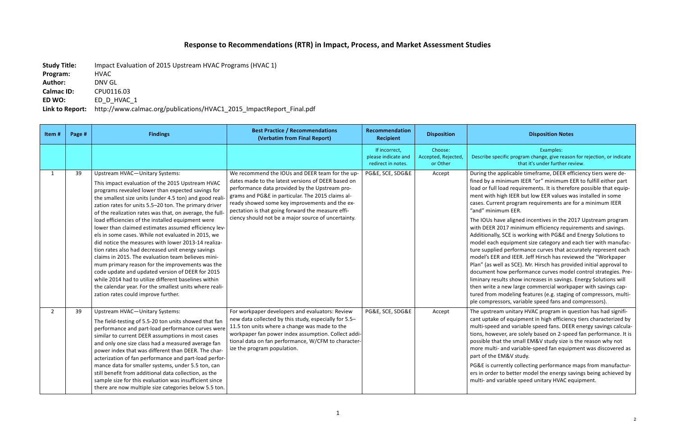## **Response to Recommendations (RTR) in Impact, Process, and Market Assessment Studies**

**Study Title:** Impact Evaluation of 2015 Upstream HVAC Programs (HVAC 1)

## **Disposition Notes**

**Program:**  HVAC Author: **DNV GL Calmac ID:** CPU0116.03 **ED WO:** ED D HVAC 1

Link to Report: http://www.calmac.org/publications/HVAC1\_2015\_ImpactReport\_Final.pdf

Examples: 

ecific program change, give reason for rejection, or indicate that it's under further review.

applicable timeframe, DEER efficiency tiers were deminimum IEER "or" minimum EER to fulfill either part load requirements. It is therefore possible that equiphigh IEER but low EER values was installed in some ent program requirements are for a minimum IEER mum EER.

ave aligned incentives in the 2017 Upstream program 2017 minimum efficiency requirements and savings. y, SCE is working with PG&E and Energy Solutions to equipment size category and each tier with manufaced performance curves that accurately represent each R and IEER. Jeff Hirsch has reviewed the "Workpaper ell as SCE). Mr. Hirsch has provided initial approval to how performance curves model control strategies. Presults show increases in savings. Energy Solutions will a new large commercial workpaper with savings capmodeling features (e.g. staging of compressors, multissors, variable speed fans and compressors).

am unitary HVAC program in question has had signifiof equipment in high efficiency tiers characterized by d and variable speed fans. DEER energy savings calculaever, are solely based on 2-speed fan performance. It is at the small EM&V study size is the reason why not - and variable-speed fan equipment was discovered as EM&V study.

rrently collecting performance maps from manufacturr to better model the energy savings being achieved by variable speed unitary HVAC equipment.

| Item#        | Page # | <b>Findings</b>                                                                                                                                                                                                                                                                                                                                                                                                                                                                                                                                                                                                                                                                                                                                                                                                                                                                                                                    | <b>Best Practice / Recommendations</b><br>(Verbatim from Final Report)                                                                                                                                                                                                                                                                                                     | Recommendation<br><b>Recipient</b>                         | <b>Disposition</b>                         |                                                                                                                                                                                                                                                                                      |
|--------------|--------|------------------------------------------------------------------------------------------------------------------------------------------------------------------------------------------------------------------------------------------------------------------------------------------------------------------------------------------------------------------------------------------------------------------------------------------------------------------------------------------------------------------------------------------------------------------------------------------------------------------------------------------------------------------------------------------------------------------------------------------------------------------------------------------------------------------------------------------------------------------------------------------------------------------------------------|----------------------------------------------------------------------------------------------------------------------------------------------------------------------------------------------------------------------------------------------------------------------------------------------------------------------------------------------------------------------------|------------------------------------------------------------|--------------------------------------------|--------------------------------------------------------------------------------------------------------------------------------------------------------------------------------------------------------------------------------------------------------------------------------------|
|              |        |                                                                                                                                                                                                                                                                                                                                                                                                                                                                                                                                                                                                                                                                                                                                                                                                                                                                                                                                    |                                                                                                                                                                                                                                                                                                                                                                            | If incorrect,<br>please indicate and<br>redirect in notes. | Choose:<br>Accepted, Rejected,<br>or Other | Describe sp                                                                                                                                                                                                                                                                          |
| $\mathbf{1}$ | 39     | <b>Upstream HVAC-Unitary Systems:</b><br>This impact evaluation of the 2015 Upstream HVAC<br>programs revealed lower than expected savings for<br>the smallest size units (under 4.5 ton) and good reali<br>zation rates for units 5.5-20 ton. The primary driver<br>of the realization rates was that, on average, the full-<br>load efficiencies of the installed equipment were<br>lower than claimed estimates assumed efficiency lev-<br>els in some cases. While not evaluated in 2015, we<br>did notice the measures with lower 2013-14 realiza-<br>tion rates also had decreased unit energy savings<br>claims in 2015. The evaluation team believes mini-<br>mum primary reason for the improvements was the<br>code update and updated version of DEER for 2015<br>while 2014 had to utilize different baselines within<br>the calendar year. For the smallest units where reali-<br>zation rates could improve further. | We recommend the IOUs and DEER team for the up-<br>dates made to the latest versions of DEER based on<br>performance data provided by the Upstream pro-<br>grams and PG&E in particular. The 2015 claims al-<br>ready showed some key improvements and the ex-<br>pectation is that going forward the measure effi-<br>ciency should not be a major source of uncertainty. | PG&E, SCE, SDG&E                                           | Accept                                     | During the<br>fined by a n<br>load or full<br>ment with <b>h</b><br>cases. Curre<br>"and" minir<br>The IOUs ha<br>with DEER 2<br>Additionally<br>model each<br>ture supplie<br>model's EEF<br>Plan" (as we<br>document h<br>liminary res<br>then write a<br>tured from<br>ple compre |
| $2^{\circ}$  | 39     | <b>Upstream HVAC-Unitary Systems:</b><br>The field-testing of 5.5-20 ton units showed that fan<br>performance and part-load performance curves were<br>similar to current DEER assumptions in most cases<br>and only one size class had a measured average fan<br>power index that was different than DEER. The char-<br>acterization of fan performance and part-load perfor-<br>mance data for smaller systems, under 5.5 ton, can<br>still benefit from additional data collection, as the<br>sample size for this evaluation was insufficient since<br>there are now multiple size categories below 5.5 ton.                                                                                                                                                                                                                                                                                                                   | For workpaper developers and evaluators: Review<br>new data collected by this study, especially for 5.5-<br>11.5 ton units where a change was made to the<br>workpaper fan power index assumption. Collect addi-<br>tional data on fan performance, W/CFM to character-<br>ize the program population.                                                                     | PG&E, SCE, SDG&E                                           | Accept                                     | The upstrea<br>cant uptake<br>multi-speed<br>tions, howe<br>possible tha<br>more multi-<br>part of the<br>PG&E is cur<br>ers in order<br>multi- and v                                                                                                                                |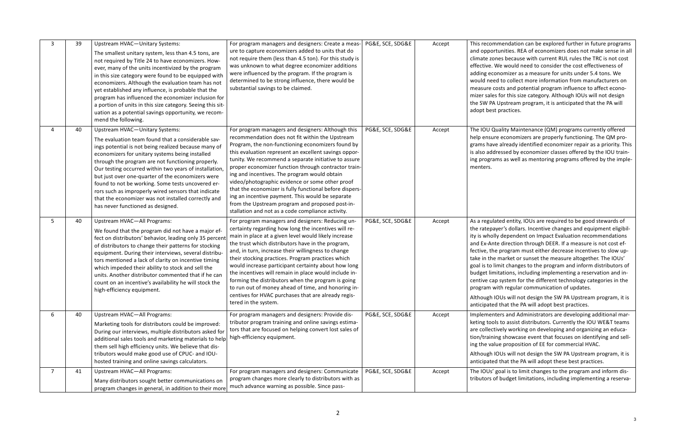mendation can be explored further in future programs tunities. REA of economizers does not make sense in all nes because with current RUL rules the TRC is not cost Ve would need to consider the cost effectiveness of nomizer as a measure for units under 5.4 tons. We d to collect more information from manufacturers on osts and potential program influence to affect econofor this size category. Although IOUs will not design Upstream program, it is anticipated that the PA will practices.

uality Maintenance (QM) programs currently offered e economizers are properly functioning. The QM proalready identified economizer repair as a priority. This ressed by economizer classes offered by the IOU trainns as well as mentoring programs offered by the imple-

ted entity, IOUs are required to be good stewards of er's dollars. Incentive changes and equipment eligibilly dependent on Impact Evaluation recommendations te direction through DEER. If a measure is not cost efprogram must either decrease incentives to slow upmarket or sunset the measure altogether. The IOUs' mit changes to the program and inform distributors of itations, including implementing a reservation and insystem for the different technology categories in the ith regular communication of updates.

OUs will not design the SW PA Upstream program, it is that the PA will adopt best practices.

ters and Administrators are developing additional mar-Is to assist distributors. Currently the IOU WE&T teams vely working on developing and organizing an educaig showcase event that focuses on identifying and sellue proposition of EE for commercial HVAC.

OUs will not design the SW PA Upstream program, it is that the PA will adopt these best practices.

goal is to limit changes to the program and inform disf budget limitations, including implementing a reserva-

| $\mathbf{3}$ | 39 | <b>Upstream HVAC-Unitary Systems:</b><br>The smallest unitary system, less than 4.5 tons, are<br>not required by Title 24 to have economizers. How-<br>ever, many of the units incentivized by the program<br>in this size category were found to be equipped with<br>economizers. Although the evaluation team has not<br>yet established any influence, is probable that the<br>program has influenced the economizer inclusion for<br>a portion of units in this size category. Seeing this sit-<br>uation as a potential savings opportunity, we recom-<br>mend the following. | For program managers and designers: Create a meas-<br>ure to capture economizers added to units that do<br>not require them (less than 4.5 ton). For this study is<br>was unknown to what degree economizer additions<br>were influenced by the program. If the program is<br>determined to be strong influence, there would be<br>substantial savings to be claimed.                                                                                                                                                                                                                                                                                        | PG&E, SCE, SDG&E | Accept | This recom<br>and opport<br>climate zor<br>effective. V<br>adding eco<br>would need<br>measure co<br>mizer sales<br>the SW PA<br>adopt best                                       |
|--------------|----|------------------------------------------------------------------------------------------------------------------------------------------------------------------------------------------------------------------------------------------------------------------------------------------------------------------------------------------------------------------------------------------------------------------------------------------------------------------------------------------------------------------------------------------------------------------------------------|--------------------------------------------------------------------------------------------------------------------------------------------------------------------------------------------------------------------------------------------------------------------------------------------------------------------------------------------------------------------------------------------------------------------------------------------------------------------------------------------------------------------------------------------------------------------------------------------------------------------------------------------------------------|------------------|--------|-----------------------------------------------------------------------------------------------------------------------------------------------------------------------------------|
| 4            | 40 | <b>Upstream HVAC-Unitary Systems:</b><br>The evaluation team found that a considerable sav-<br>ings potential is not being realized because many of<br>economizers for unitary systems being installed<br>through the program are not functioning properly.<br>Our testing occurred within two years of installation,<br>but just over one-quarter of the economizers were<br>found to not be working. Some tests uncovered er-<br>rors such as improperly wired sensors that indicate<br>that the economizer was not installed correctly and<br>has never functioned as designed. | For program managers and designers: Although this<br>recommendation does not fit within the Upstream<br>Program, the non-functioning economizers found by<br>this evaluation represent an excellent savings oppor-<br>tunity. We recommend a separate initiative to assure<br>proper economizer function through contractor train-<br>ing and incentives. The program would obtain<br>video/photographic evidence or some other proof<br>that the economizer is fully functional before dispers-<br>ing an incentive payment. This would be separate<br>from the Upstream program and proposed post-in-<br>stallation and not as a code compliance activity. | PG&E, SCE, SDG&E | Accept | The IOU Qu<br>help ensure<br>grams have<br>is also addr<br>ing prograr<br>menters.                                                                                                |
| 5            | 40 | Upstream HVAC-All Programs:<br>We found that the program did not have a major ef-<br>fect on distributors' behavior, leading only 35 percent<br>of distributors to change their patterns for stocking<br>equipment. During their interviews, several distribu-<br>tors mentioned a lack of clarity on incentive timing<br>which impeded their ability to stock and sell the<br>units. Another distributor commented that if he can<br>count on an incentive's availability he will stock the<br>high-efficiency equipment.                                                         | For program managers and designers: Reducing un-<br>certainty regarding how long the incentives will re-<br>main in place at a given level would likely increase<br>the trust which distributors have in the program,<br>and, in turn, increase their willingness to change<br>their stocking practices. Program practices which<br>would increase participant certainty about how long<br>the incentives will remain in place would include in-<br>forming the distributors when the program is going<br>to run out of money ahead of time, and honoring in-<br>centives for HVAC purchases that are already regis-<br>tered in the system.                 | PG&E, SCE, SDG&E | Accept | As a regula<br>the ratepay<br>ity is wholly<br>and Ex-Ant<br>fective, the<br>take in the<br>goal is to li<br>budget limi<br>centive cap<br>program w<br>Although I<br>anticipated |
| 6            | 40 | Upstream HVAC-All Programs:<br>Marketing tools for distributors could be improved:<br>During our interviews, multiple distributors asked for<br>additional sales tools and marketing materials to help<br>them sell high efficiency units. We believe that dis-<br>tributors would make good use of CPUC- and IOU-<br>hosted training and online savings calculators.                                                                                                                                                                                                              | For program managers and designers: Provide dis-<br>tributor program training and online savings estima-<br>tors that are focused on helping convert lost sales of<br>high-efficiency equipment.                                                                                                                                                                                                                                                                                                                                                                                                                                                             | PG&E, SCE, SDG&E | Accept | Implement<br>keting tools<br>are collecti<br>tion/trainir<br>ing the valu<br>Although I<br>anticipated                                                                            |
| $7^{\circ}$  | 41 | Upstream HVAC-All Programs:<br>Many distributors sought better communications on<br>program changes in general, in addition to their more                                                                                                                                                                                                                                                                                                                                                                                                                                          | For program managers and designers: Communicate<br>program changes more clearly to distributors with as<br>much advance warning as possible. Since pass-                                                                                                                                                                                                                                                                                                                                                                                                                                                                                                     | PG&E, SCE, SDG&E | Accept | The IOUs' g<br>tributors of                                                                                                                                                       |